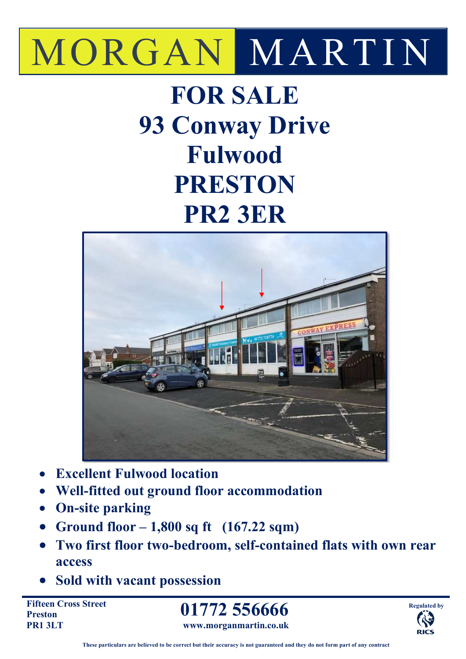# MORGAN MARTIN

# **FOR SALE 93 Conway Drive Fulwood PRESTON PR2 3ER**



- **Excellent Fulwood location**
- **Well-fitted out ground floor accommodation**
- **On-site parking**
- **Ground floor 1,800 sq ft (167.22 sqm)**
- **Two first floor two-bedroom, self-contained flats with own rear access**
- **Sold with vacant possession**

**Fifteen Cross Street Preston PR1 3LT** 

**01772 556666 www.morganmartin.co.uk**

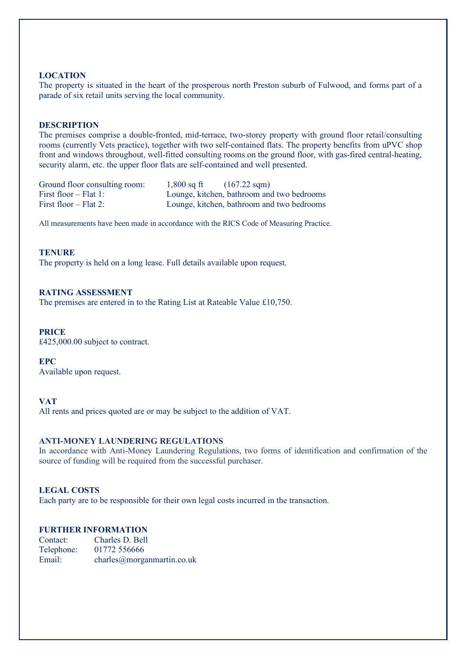#### **LOCATION**

The property is situated in the heart of the prosperous north Preston suburb of Fulwood, and forms part of a parade of six retail units serving the local community.

#### **DESCRIPTION**

The premises comprise a double-fronted, mid-terrace, two-storey property with ground floor retail/consulting rooms (currently Vets practice), together with two self-contained flats. The property benefits from uPVC shop front and windows throughout, well-fitted consulting rooms on the ground floor, with gas-fired central-heating, security alarm, etc. the upper floor flats are self-contained and well presented.

| Ground floor consulting room: | $1,800$ sq ft | $(167.22 \text{ sqm})$                     |
|-------------------------------|---------------|--------------------------------------------|
| First floor $-$ Flat 1:       |               | Lounge, kitchen, bathroom and two bedrooms |
| First floor $-$ Flat 2:       |               | Lounge, kitchen, bathroom and two bedrooms |

All measurements have been made in accordance with the RICS Code of Measuring Practice.

#### **TENURE**

The property is held on a long lease. Full details available upon request.

#### **RATING ASSESSMENT**

The premises are entered in to the Rating List at Rateable Value £10,750.

### **PRICE**

£425,000.00 subject to contract.

#### **EPC**

Available upon request.

### **VAT**

All rents and prices quoted are or may be subject to the addition of VAT.

# **ANTI-MONEY LAUNDERING REGULATIONS**

In accordance with Anti-Money Laundering Regulations, two forms of identification and confirmation of the source of funding will be required from the successful purchaser.

#### **LEGAL COSTS**

Each party are to be responsible for their own legal costs incurred in the transaction.

# **FURTHER INFORMATION**

| Contact:   | Charles D. Bell            |
|------------|----------------------------|
| Telephone: | 01772 556666               |
| Email:     | charles@moreanmartin.co.uk |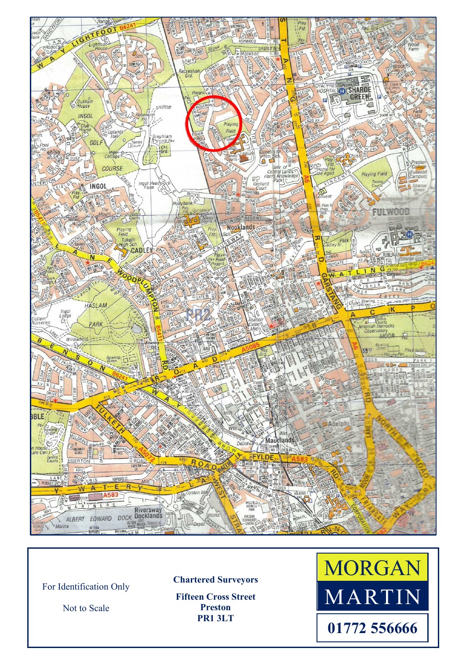

For Identification Only

Not to Scale

**Chartered Surveyors** 

**Fifteen Cross Street Preston PR1 3LT**